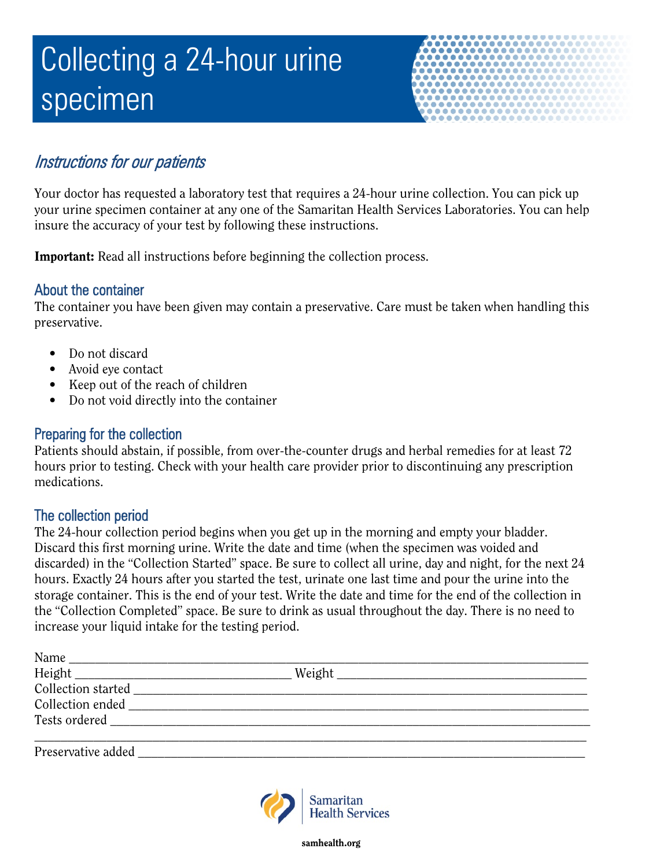# Collecting a 24-hour urine specimen



# Instructions for our patients

Your doctor has requested a laboratory test that requires a 24-hour urine collection. You can pick up your urine specimen container at any one of the Samaritan Health Services Laboratories. You can help insure the accuracy of your test by following these instructions.

Important: Read all instructions before beginning the collection process.

# About the container

The container you have been given may contain a preservative. Care must be taken when handling this preservative.

- Do not discard
- Avoid eye contact
- Keep out of the reach of children
- Do not void directly into the container

#### Preparing for the collection

Patients should abstain, if possible, from over-the-counter drugs and herbal remedies for at least 72 hours prior to testing. Check with your health care provider prior to discontinuing any prescription medications.

## The collection period

The 24-hour collection period begins when you get up in the morning and empty your bladder. Discard this first morning urine. Write the date and time (when the specimen was voided and discarded) in the "Collection Started" space. Be sure to collect all urine, day and night, for the next 24 hours. Exactly 24 hours after you started the test, urinate one last time and pour the urine into the storage container. This is the end of your test. Write the date and time for the end of the collection in the "Collection Completed" space. Be sure to drink as usual throughout the day. There is no need to increase your liquid intake for the testing period.

| Name<br>the control of the control of the control of the control of the control of the control of                                                                                                                              |                                                                                                                                                                                                                                |  |
|--------------------------------------------------------------------------------------------------------------------------------------------------------------------------------------------------------------------------------|--------------------------------------------------------------------------------------------------------------------------------------------------------------------------------------------------------------------------------|--|
|                                                                                                                                                                                                                                | Weight Neumann States and States and States and States and States and States and States and States and States and States and States and States and States and States and States and States and States and States and States an |  |
|                                                                                                                                                                                                                                |                                                                                                                                                                                                                                |  |
|                                                                                                                                                                                                                                |                                                                                                                                                                                                                                |  |
| Tests ordered and the state of the state of the state of the state of the state of the state of the state of the state of the state of the state of the state of the state of the state of the state of the state of the state |                                                                                                                                                                                                                                |  |
|                                                                                                                                                                                                                                |                                                                                                                                                                                                                                |  |
| Preservative added                                                                                                                                                                                                             |                                                                                                                                                                                                                                |  |



samhealth.org